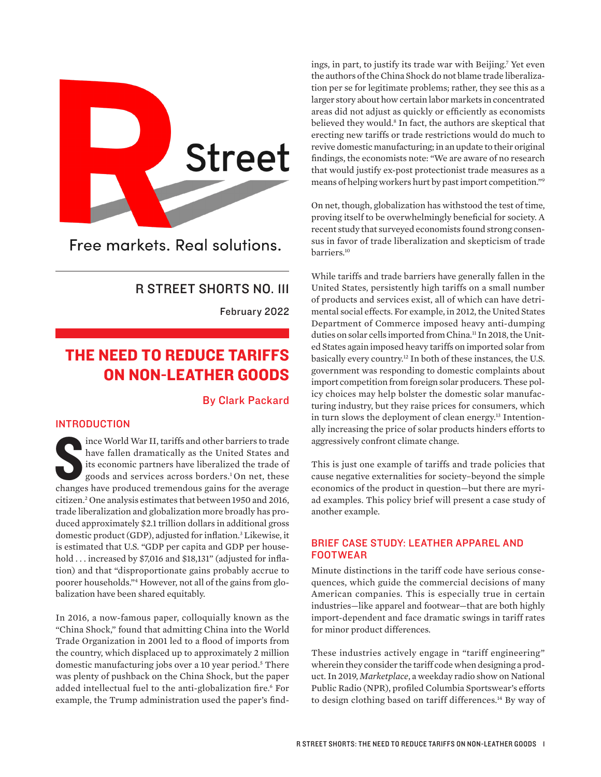<span id="page-0-0"></span>

Free markets. Real solutions.

## R STREET SHORTS NO. 111

February 2022

# THE NEED TO REDUCE TARIFFS ON NON-LEATHER GOODS

By Clark Packard

## INTRODUCTION

ince World War II, tariffs and other barriers to trade<br>have fallen dramatically as the United States and<br>its economic partners have liberalized the trade of<br>goods and services across borders.<sup>1</sup> On net, these<br>changes have ince World War II, tariffs and other barriers to trade have fallen dramatically as the United States and its economic partners have liberalized the trade of goods and services across borders[.1](#page-2-0) On net, these citizen[.2](#page-2-0) One analysis estimates that between 1950 and 2016, trade liberalization and globalization more broadly has produced approximately \$2.1 trillion dollars in additional gross domestic product (GDP), adjusted for inflation[.3](#page-2-0) Likewise, it is estimated that U.S. "GDP per capita and GDP per household ... increased by \$7,016 and \$18,131" (adjusted for inflation) and that "disproportionate gains probably accrue to poorer households.["4](#page-2-0) However, not all of the gains from globalization have been shared equitably.

In 2016, a now-famous paper, colloquially known as the "China Shock," found that admitting China into the World Trade Organization in 2001 led to a flood of imports from the country, which displaced up to approximately 2 million domestic manufacturing jobs over a 10 year period.<sup>[5](#page-2-0)</sup> There was plenty of pushback on the China Shock, but the paper added intellectual fuel to the anti-globalization fire.[6](#page-2-0) For example, the Trump administration used the paper's find-

ings, in part, to justify its trade war with Beijing[.7](#page-2-0) Yet even the authors of the China Shock do not blame trade liberalization per se for legitimate problems; rather, they see this as a larger story about how certain labor markets in concentrated areas did not adjust as quickly or efficiently as economists believed they would.<sup>8</sup> In fact, the authors are skeptical that erecting new tariffs or trade restrictions would do much to revive domestic manufacturing; in an update to their original findings, the economists note: "We are aware of no research that would justify ex-post protectionist trade measures as a means of helping workers hurt by past import competition.["9](#page-2-0)

On net, though, globalization has withstood the test of time, proving itself to be overwhelmingly beneficial for society. A recent study that surveyed economists found strong consensus in favor of trade liberalization and skepticism of trade barriers[.10](#page-2-0)

While tariffs and trade barriers have generally fallen in the United States, persistently high tariffs on a small number of products and services exist, all of which can have detrimental social effects. For example, in 2012, the United States Department of Commerce imposed heavy anti-dumping duties on solar cells imported from China.<sup>11</sup> In 2018, the United States again imposed heavy tariffs on imported solar from basically every country[.12](#page-2-0) In both of these instances, the U.S. government was responding to domestic complaints about import competition from foreign solar producers. These policy choices may help bolster the domestic solar manufacturing industry, but they raise prices for consumers, which in turn slows the deployment of clean energy.<sup>13</sup> Intentionally increasing the price of solar products hinders efforts to aggressively confront climate change.

This is just one example of tariffs and trade policies that cause negative externalities for society–beyond the simple economics of the product in question—but there are myriad examples. This policy brief will present a case study of another example.

### BRIEF CASE STUDY: LEATHER APPAREL AND FOOTWEAR

Minute distinctions in the tariff code have serious consequences, which guide the commercial decisions of many American companies. This is especially true in certain industries—like apparel and footwear—that are both highly import-dependent and face dramatic swings in tariff rates for minor product differences.

These industries actively engage in "tariff engineering" wherein they consider the tariff code when designing a product. In 2019, *Marketplace*, a weekday radio show on National Public Radio (NPR), profiled Columbia Sportswear's efforts to design clothing based on tariff differences.<sup>[14](#page-2-0)</sup> By way of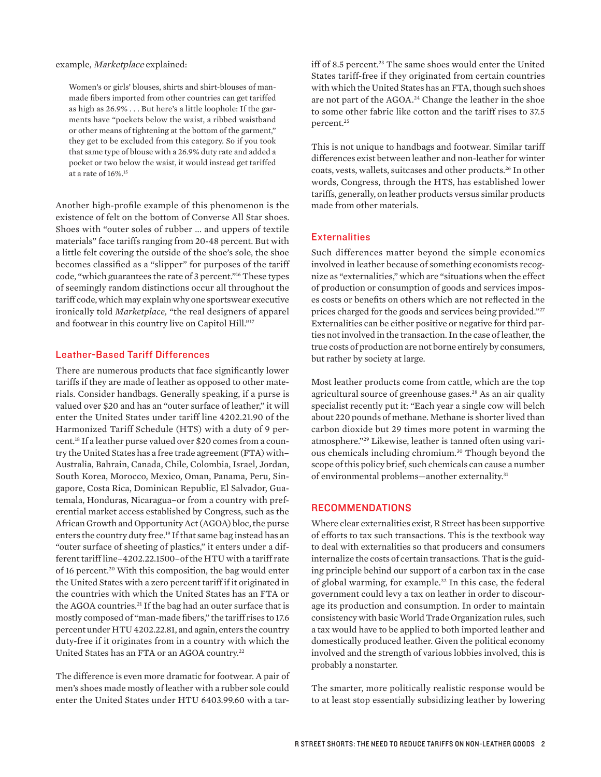<span id="page-1-0"></span>example, Marketplace explained:

Women's or girls' blouses, shirts and shirt-blouses of manmade fibers imported from other countries can get tariffed as high as 26.9% . . . But here's a little loophole: If the garments have "pockets below the waist, a ribbed waistband or other means of tightening at the bottom of the garment," they get to be excluded from this category. So if you took that same type of blouse with a 26.9% duty rate and added a pocket or two below the waist, it would instead get tariffed at a rate of 16%.[15](#page-2-0)

Another high-profile example of this phenomenon is the existence of felt on the bottom of Converse All Star shoes. Shoes with "outer soles of rubber ... and uppers of textile materials" face tariffs ranging from 20-48 percent. But with a little felt covering the outside of the shoe's sole, the shoe becomes classified as a "slipper" for purposes of the tariff code, "which guarantees the rate of 3 percent.["16](#page-2-0) These types of seemingly random distinctions occur all throughout the tariff code, which may explain why one sportswear executive ironically told *Marketplace,* "the real designers of apparel and footwear in this country live on Capitol Hill.["17](#page-2-0)

#### Leather-Based Tariff Differences

There are numerous products that face significantly lower tariffs if they are made of leather as opposed to other materials. Consider handbags. Generally speaking, if a purse is valued over \$20 and has an "outer surface of leather," it will enter the United States under tariff line 4202.21.90 of the Harmonized Tariff Schedule (HTS) with a duty of 9 percent[.18](#page-2-0) If a leather purse valued over \$20 comes from a country the United States has a free trade agreement (FTA) with– Australia, Bahrain, Canada, Chile, Colombia, Israel, Jordan, South Korea, Morocco, Mexico, Oman, Panama, Peru, Singapore, Costa Rica, Dominican Republic, El Salvador, Guatemala, Honduras, Nicaragua–or from a country with preferential market access established by Congress, such as the African Growth and Opportunity Act (AGOA) bloc, the purse enters the country duty free.<sup>19</sup> If that same bag instead has an "outer surface of sheeting of plastics," it enters under a different tariff line–4202.22.1500–of the HTU with a tariff rate of 16 percent.<sup>20</sup> With this composition, the bag would enter the United States with a zero percent tariff if it originated in the countries with which the United States has an FTA or the AGOA countries.<sup>21</sup> If the bag had an outer surface that is mostly composed of "man-made fibers," the tariff rises to 17.6 percent under HTU 4202.22.81, and again, enters the country duty-free if it originates from in a country with which the United States has an FTA or an AGOA country[.22](#page-2-0)

The difference is even more dramatic for footwear. A pair of men's shoes made mostly of leather with a rubber sole could enter the United States under HTU 6403.99.60 with a tar-

iff of 8.5 percent.<sup>23</sup> The same shoes would enter the United States tariff-free if they originated from certain countries with which the United States has an FTA, though such shoes are not part of the AGOA.[24](#page-2-0) Change the leather in the shoe to some other fabric like cotton and the tariff rises to 37.5 percent[.25](#page-2-0)

This is not unique to handbags and footwear. Similar tariff differences exist between leather and non-leather for winter coats, vests, wallets, suitcases and other products.[26](#page-2-0) In other words, Congress, through the HTS, has established lower tariffs, generally, on leather products versus similar products made from other materials.

#### **Externalities**

Such differences matter beyond the simple economics involved in leather because of something economists recognize as "externalities," which are "situations when the effect of production or consumption of goods and services imposes costs or benefits on others which are not reflected in the prices charged for the goods and services being provided."<sup>[27](#page-2-0)</sup> Externalities can be either positive or negative for third parties not involved in the transaction. In the case of leather, the true costs of production are not borne entirely by consumers, but rather by society at large.

Most leather products come from cattle, which are the top agricultural source of greenhouse gases.[28](#page-2-0) As an air quality specialist recently put it: "Each year a single cow will belch about 220 pounds of methane. Methane is shorter lived than carbon dioxide but 29 times more potent in warming the atmosphere."[29](#page-2-0) Likewise, leather is tanned often using various chemicals including chromium.[30](#page-2-0) Though beyond the scope of this policy brief, such chemicals can cause a number of environmental problems—another externality[.31](#page-2-0) 

#### RECOMMENDATIONS

Where clear externalities exist, R Street has been supportive of efforts to tax such transactions. This is the textbook way to deal with externalities so that producers and consumers internalize the costs of certain transactions. That is the guiding principle behind our support of a carbon tax in the case of global warming, for example.<sup>[32](#page-2-0)</sup> In this case, the federal government could levy a tax on leather in order to discourage its production and consumption. In order to maintain consistency with basic World Trade Organization rules, such a tax would have to be applied to both imported leather and domestically produced leather. Given the political economy involved and the strength of various lobbies involved, this is probably a nonstarter.

The smarter, more politically realistic response would be to at least stop essentially subsidizing leather by lowering